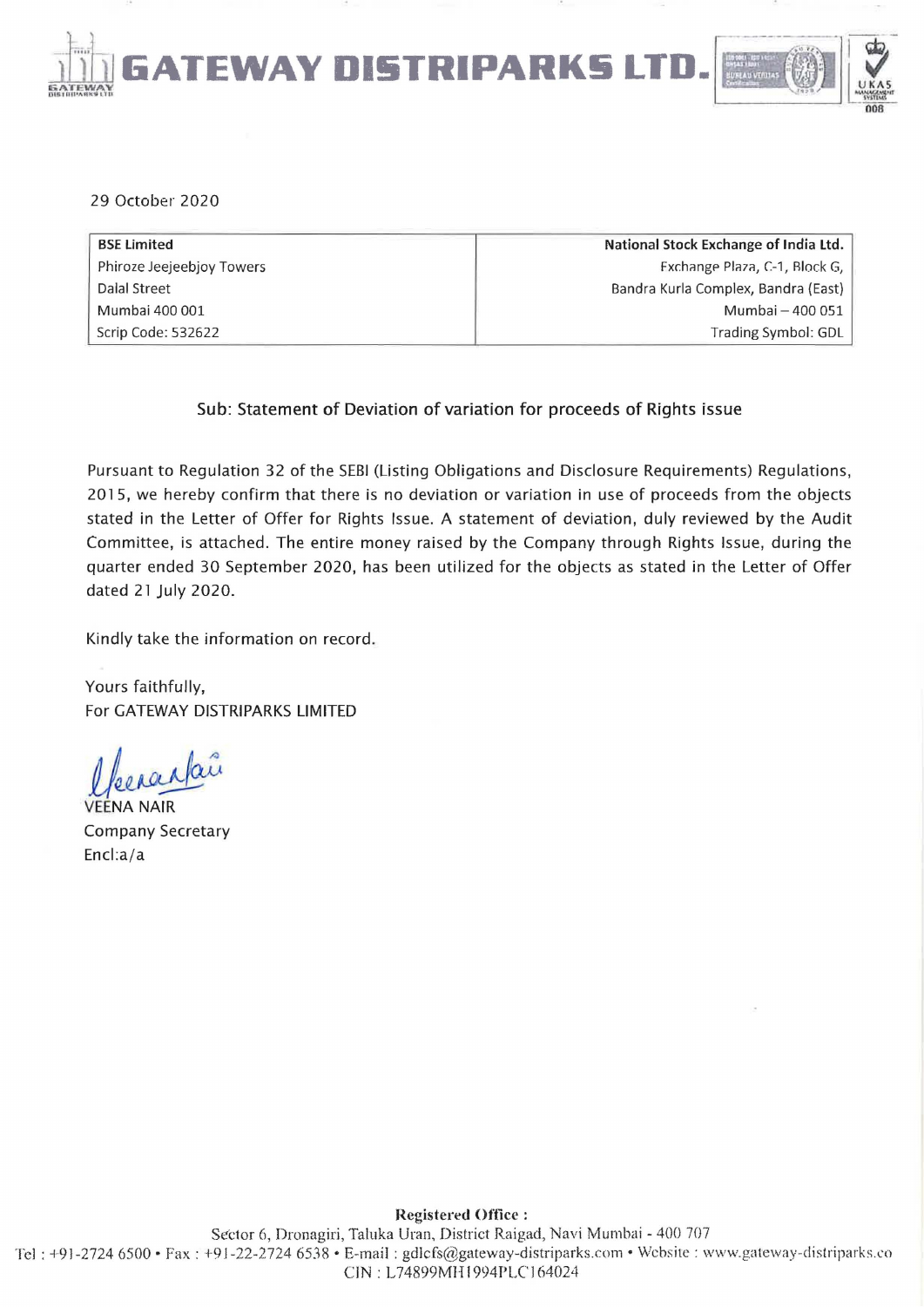

29 October 2020

| <b>BSE Limited</b>        | National Stock Exchange of India Ltd. |
|---------------------------|---------------------------------------|
| Phiroze Jeejeebjoy Towers | Exchange Plaza, C-1, Block G,         |
| Dalal Street              | Bandra Kurla Complex, Bandra (East)   |
| Mumbai 400 001            | Mumbai - 400 051                      |
| Scrip Code: 532622        | Trading Symbol: GDL                   |

Sub: Statement of Deviation of variation for proceeds of Rights issue

Pursuant to Regulation 32 of the SEBI (Listing Obligations and Disclosure Requirements) Regulations, 2015, we hereby confirm that there is no deviation or variation in use of proceeds from the objects stated in the Letter of Offer for Rights Issue. A statement of deviation, duly reviewed by the Audit Committee, is attached. The entire money raised by the Company through Rights Issue, during the quarter ended 30 September 2020, has been utilized for the objects as stated in the Letter of Offer dated 21 July 2020.

Kindly take the information on record.

Yours faithfully, For GATEWAY DISTRIPARKS LIMITED

Veeraalaî

**JA NAIR** Company Secretary Encl:a/a